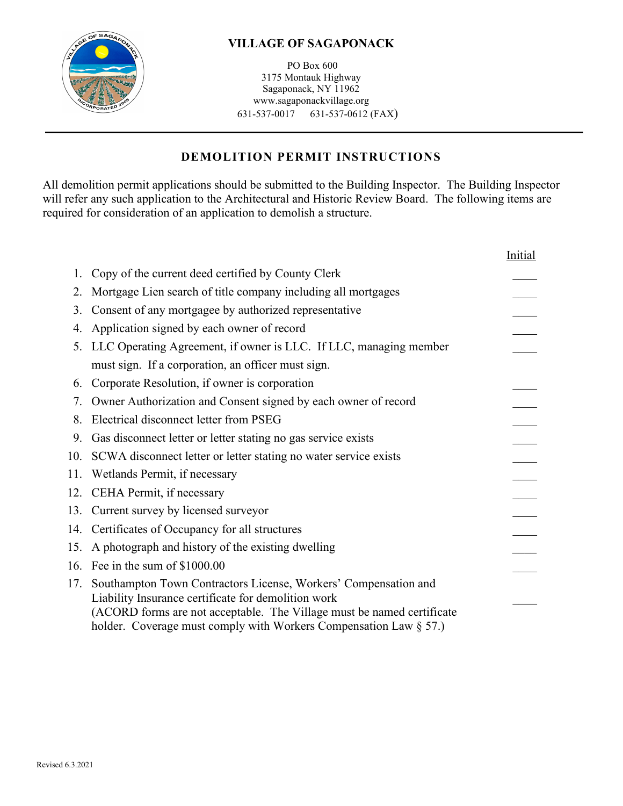

PO Box 600 3175 Montauk Highway Sagaponack, NY 11962 www.sagaponackvillage.org 631-537-0017 631-537-0612 (FAX)

# **DEMOLITION PERMIT INSTRUCTIONS**

 All demolition permit applications should be submitted to the Building Inspector. The Building Inspector will refer any such application to the Architectural and Historic Review Board. The following items are required for consideration of an application to demolish a structure.

|     |                                                                                                                                                                                                                                                                           | <i>Initial</i> |
|-----|---------------------------------------------------------------------------------------------------------------------------------------------------------------------------------------------------------------------------------------------------------------------------|----------------|
|     | Copy of the current deed certified by County Clerk                                                                                                                                                                                                                        |                |
| 2.  | Mortgage Lien search of title company including all mortgages                                                                                                                                                                                                             |                |
| 3.  | Consent of any mortgagee by authorized representative                                                                                                                                                                                                                     |                |
| 4.  | Application signed by each owner of record                                                                                                                                                                                                                                |                |
|     | 5. LLC Operating Agreement, if owner is LLC. If LLC, managing member                                                                                                                                                                                                      |                |
|     | must sign. If a corporation, an officer must sign.                                                                                                                                                                                                                        |                |
| 6.  | Corporate Resolution, if owner is corporation                                                                                                                                                                                                                             |                |
|     | Owner Authorization and Consent signed by each owner of record                                                                                                                                                                                                            |                |
| 8.  | Electrical disconnect letter from PSEG                                                                                                                                                                                                                                    |                |
| 9.  | Gas disconnect letter or letter stating no gas service exists                                                                                                                                                                                                             |                |
| 10. | SCWA disconnect letter or letter stating no water service exists                                                                                                                                                                                                          |                |
| 11. | Wetlands Permit, if necessary                                                                                                                                                                                                                                             |                |
| 12. | CEHA Permit, if necessary                                                                                                                                                                                                                                                 |                |
|     | 13. Current survey by licensed surveyor                                                                                                                                                                                                                                   |                |
| 14. | Certificates of Occupancy for all structures                                                                                                                                                                                                                              |                |
| 15. | A photograph and history of the existing dwelling                                                                                                                                                                                                                         |                |
| 16. | Fee in the sum of \$1000.00                                                                                                                                                                                                                                               |                |
| 17. | Southampton Town Contractors License, Workers' Compensation and<br>Liability Insurance certificate for demolition work<br>(ACORD forms are not acceptable. The Village must be named certificate<br>holder. Coverage must comply with Workers Compensation Law $\S 57$ .) |                |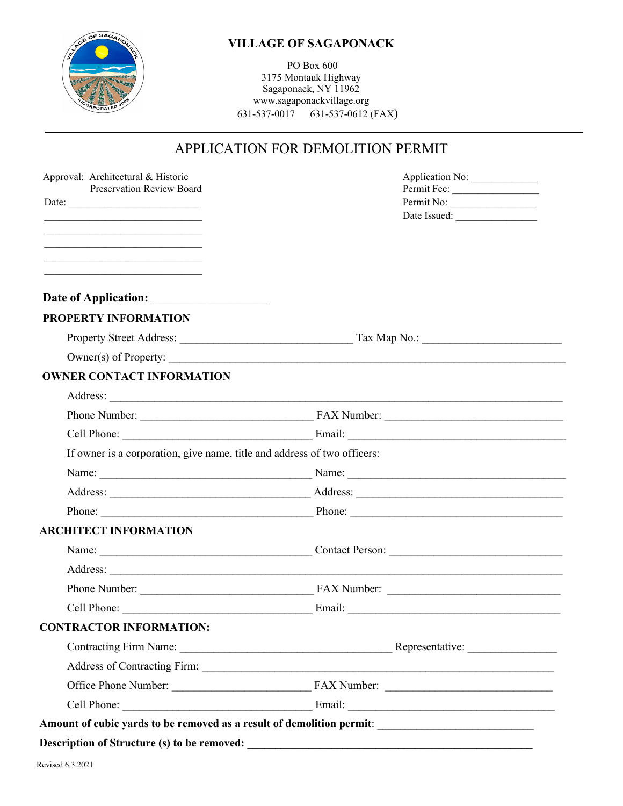# OF SAGA

#### **VILLAGE OF SAGAPONACK**

PO Box 600 3175 Montauk Highway Sagaponack, NY 11962 www.sagaponackvillage.org 631-537-0017 631-537-0612 (FAX)

# APPLICATION FOR DEMOLITION PERMIT

| Approval: Architectural & Historic<br><b>Preservation Review Board</b>                    | Application No:           |
|-------------------------------------------------------------------------------------------|---------------------------|
|                                                                                           | Permit Fee:<br>Permit No: |
|                                                                                           |                           |
| the control of the control of the control of the control of the control of the control of |                           |
|                                                                                           |                           |
|                                                                                           |                           |
|                                                                                           |                           |
| PROPERTY INFORMATION                                                                      |                           |
|                                                                                           |                           |
|                                                                                           |                           |
| <b>OWNER CONTACT INFORMATION</b>                                                          |                           |
|                                                                                           |                           |
|                                                                                           |                           |
|                                                                                           |                           |
| If owner is a corporation, give name, title and address of two officers:                  |                           |
|                                                                                           |                           |
|                                                                                           |                           |
|                                                                                           |                           |
| <b>ARCHITECT INFORMATION</b>                                                              |                           |
|                                                                                           |                           |
|                                                                                           |                           |
|                                                                                           |                           |
|                                                                                           |                           |
| <b>CONTRACTOR INFORMATION:</b>                                                            |                           |
|                                                                                           |                           |
|                                                                                           |                           |
|                                                                                           |                           |
|                                                                                           |                           |
|                                                                                           |                           |
|                                                                                           |                           |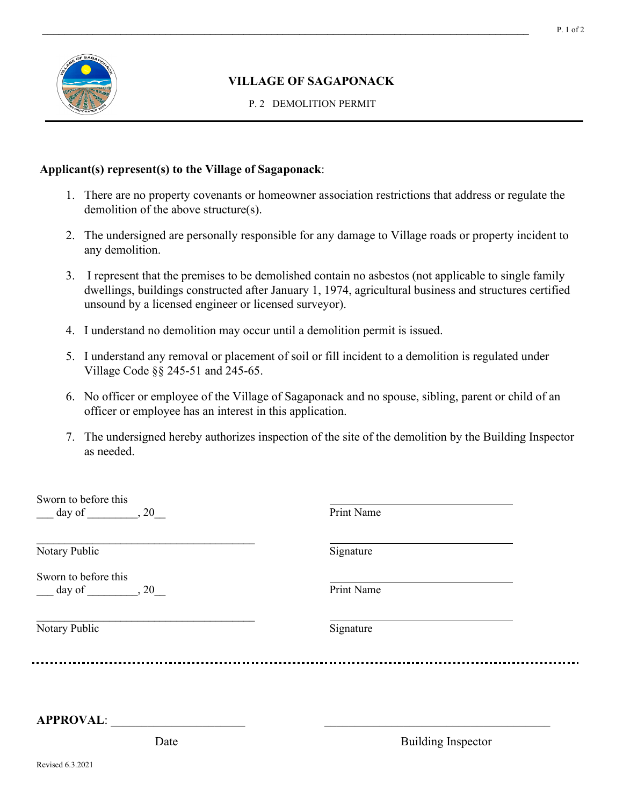

P. 2 DEMOLITION PERMIT

#### **Applicant(s) represent(s) to the Village of Sagaponack**:

- 1. There are no property covenants or homeowner association restrictions that address or regulate the demolition of the above structure(s).
- 2. The undersigned are personally responsible for any damage to Village roads or property incident to any demolition.
- 3. I represent that the premises to be demolished contain no asbestos (not applicable to single family dwellings, buildings constructed after January 1, 1974, agricultural business and structures certified unsound by a licensed engineer or licensed surveyor).
- 4. I understand no demolition may occur until a demolition permit is issued.
- 5. I understand any removal or placement of soil or fill incident to a demolition is regulated under Village Code §§ 245-51 and 245-65.
- 6. No officer or employee of the Village of Sagaponack and no spouse, sibling, parent or child of an officer or employee has an interest in this application.
- 7. The undersigned hereby authorizes inspection of the site of the demolition by the Building Inspector as needed.

| Sworn to before this<br>$\frac{day}{x}$ day of $\frac{1}{x}$ , 20 | Print Name |
|-------------------------------------------------------------------|------------|
| Notary Public                                                     | Signature  |
| Sworn to before this<br>$day of$ , 20                             | Print Name |
| Notary Public                                                     | Signature  |
|                                                                   |            |

**APPROVAL**: \_\_\_\_\_\_\_\_\_\_\_\_\_\_\_\_\_\_\_\_\_\_ \_\_\_\_\_\_\_\_\_\_\_\_\_\_\_\_\_\_\_\_\_\_\_\_\_\_\_\_\_\_\_\_\_\_\_\_\_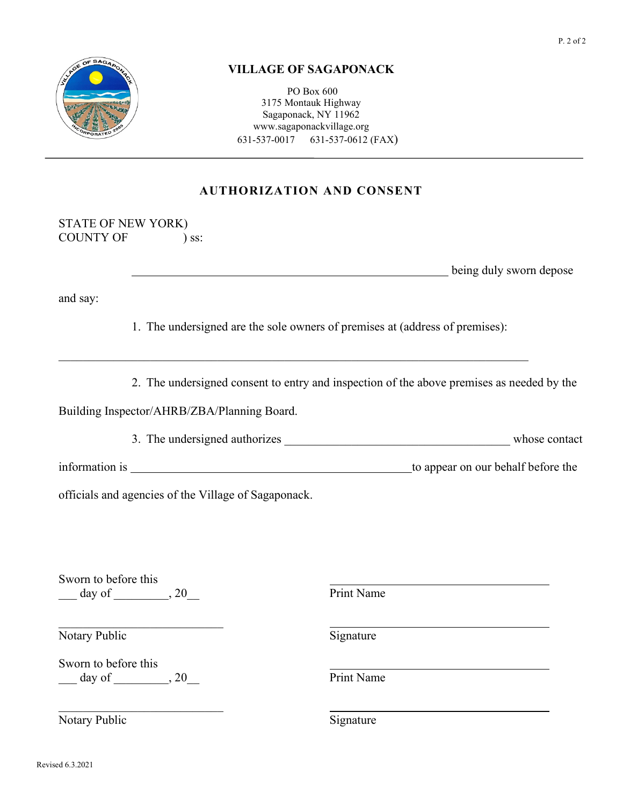

PO Box 600 3175 Montauk Highway Sagaponack, NY 11962 www.sagaponackvillage.org 631-537-0017 631-537-0612 (FAX)

# **AUTHORIZATION AND CONSENT**

STATE OF NEW YORK) COUNTY OF ) ss:

**being duly sworn depose** 

and say:

1. The undersigned are the sole owners of premises at (address of premises):

\_\_\_\_\_\_\_\_\_\_\_\_\_\_\_\_\_\_\_\_\_\_\_\_\_\_\_\_\_\_\_\_\_\_\_\_\_\_\_\_\_\_\_\_\_\_\_\_\_\_\_\_\_\_\_\_\_\_\_\_\_\_\_\_\_\_\_\_\_\_\_\_\_\_\_\_\_

2. The undersigned consent to entry and inspection of the above premises as needed by the

Building Inspector/AHRB/ZBA/Planning Board.

3. The undersigned authorizes whose contact

information is to appear on our behalf before the

officials and agencies of the Village of Sagaponack.

Sworn to before this \_\_\_ day of \_\_\_\_\_\_\_\_\_, 20\_\_ Print Name

Notary Public Signature

Sworn to before this  $\frac{1}{\text{Print Name}}$ , 20

\_\_\_\_\_\_\_\_\_\_\_\_\_\_\_\_\_\_\_\_\_\_\_\_\_\_\_

Notary Public Signature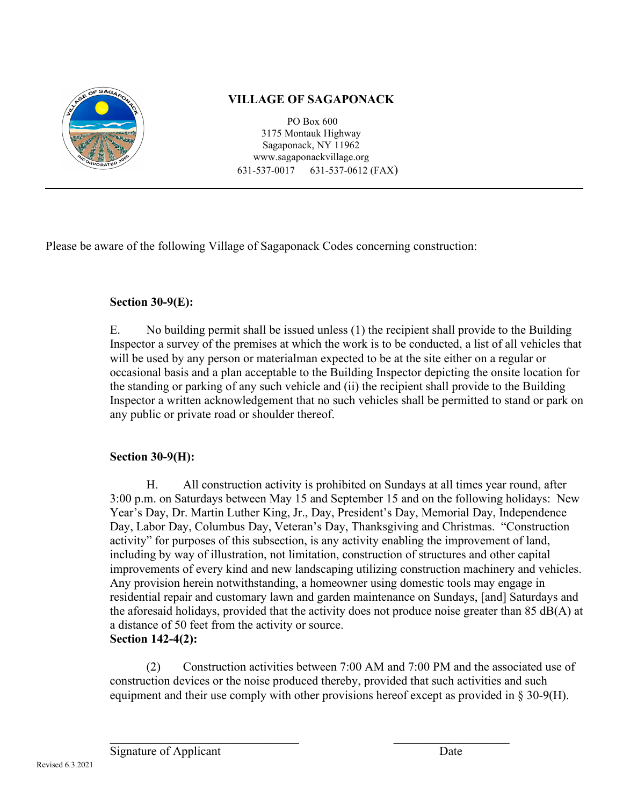

PO Box 600 3175 Montauk Highway Sagaponack, NY 11962 www.sagaponackvillage.org 631-537-0017 631-537-0612 (FAX)

Please be aware of the following Village of Sagaponack Codes concerning construction:

# **Section 30-9(E):**

E. No building permit shall be issued unless (1) the recipient shall provide to the Building Inspector a survey of the premises at which the work is to be conducted, a list of all vehicles that will be used by any person or materialman expected to be at the site either on a regular or occasional basis and a plan acceptable to the Building Inspector depicting the onsite location for the standing or parking of any such vehicle and (ii) the recipient shall provide to the Building Inspector a written acknowledgement that no such vehicles shall be permitted to stand or park on any public or private road or shoulder thereof.

# **Section 30-9(H):**

H. All construction activity is prohibited on Sundays at all times year round, after 3:00 p.m. on Saturdays between May 15 and September 15 and on the following holidays: New Year's Day, Dr. Martin Luther King, Jr., Day, President's Day, Memorial Day, Independence Day, Labor Day, Columbus Day, Veteran's Day, Thanksgiving and Christmas. "Construction activity" for purposes of this subsection, is any activity enabling the improvement of land, including by way of illustration, not limitation, construction of structures and other capital improvements of every kind and new landscaping utilizing construction machinery and vehicles. Any provision herein notwithstanding, a homeowner using domestic tools may engage in residential repair and customary lawn and garden maintenance on Sundays, [and] Saturdays and the aforesaid holidays, provided that the activity does not produce noise greater than 85 dB(A) at a distance of 50 feet from the activity or source. **Section 142-4(2):**

(2) Construction activities between 7:00 AM and 7:00 PM and the associated use of construction devices or the noise produced thereby, provided that such activities and such equipment and their use comply with other provisions hereof except as provided in § 30-9(H).

 $\overline{\phantom{a}}$  , and the contribution of the contribution of  $\overline{\phantom{a}}$  , and  $\overline{\phantom{a}}$